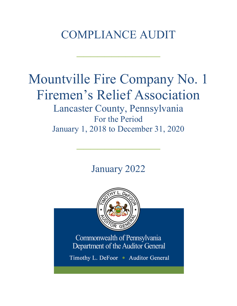# COMPLIANCE AUDIT

 $\frac{1}{2}$ 

# Mountville Fire Company No. 1 Firemen's Relief Association

Lancaster County, Pennsylvania For the Period January 1, 2018 to December 31, 2020

January 2022

 $\frac{1}{2}$ 

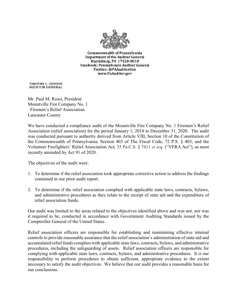

**Commonwealth of Pennsylvania Department of the Auditor General** Harrisburg, PA 17120-0018 Facebook: Pennsylvania Auditor General Twitter: @PAAuditorGen www.PaAuditor.gov

TIMOTHY L. DEFOOR **AUDITOR GENERAL** 

Mr. Paul M. Rossi, President Mountville Fire Company No. 1 Firemen's Relief Association Lancaster County

We have conducted a compliance audit of the Mountville Fire Company No. 1 Firemen's Relief Association (relief association) for the period January 1, 2018 to December 31, 2020. The audit was conducted pursuant to authority derived from Article VIII, Section 10 of the Constitution of the Commonwealth of Pennsylvania; Section 403 of The Fiscal Code, 72 P.S. § 403; and the Volunteer Firefighters' Relief Association Act, 35 Pa.C.S. § 7411 *et seq.* ("VFRA Act"), as most recently amended by Act 91 of 2020.

The objectives of the audit were:

- 1. To determine if the relief association took appropriate corrective action to address the findings contained in our prior audit report.
- 2. To determine if the relief association complied with applicable state laws, contracts, bylaws, and administrative procedures as they relate to the receipt of state aid and the expenditure of relief association funds.

Our audit was limited to the areas related to the objectives identified above and was not, nor was it required to be, conducted in accordance with Government Auditing Standards issued by the Comptroller General of the United States.

Relief association officers are responsible for establishing and maintaining effective internal controls to provide reasonable assurance that the relief association's administration of state aid and accumulated relief funds complies with applicable state laws, contracts, bylaws, and administrative procedures, including the safeguarding of assets. Relief association officers are responsible for complying with applicable state laws, contracts, bylaws, and administrative procedures. It is our responsibility to perform procedures to obtain sufficient, appropriate evidence to the extent necessary to satisfy the audit objectives. We believe that our audit provides a reasonable basis for our conclusions.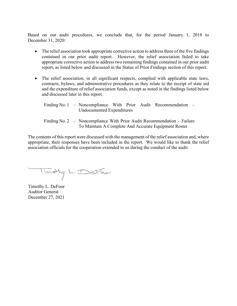Based on our audit procedures, we conclude that, for the period January 1, 2018 to December 31, 2020:

- The relief association took appropriate corrective action to address three of the five findings contained in our prior audit report. However, the relief association failed to take appropriate corrective action to address two remaining findings contained in our prior audit report, as listed below and discussed in the Status of Prior Findings section of this report.
- The relief association, in all significant respects, complied with applicable state laws, contracts, bylaws, and administrative procedures as they relate to the receipt of state aid and the expenditure of relief association funds, except as noted in the findings listed below and discussed later in this report.

|  |                           |  |  |  | Finding No. 1 - Noncompliance With Prior Audit Recommendation - |  |
|--|---------------------------|--|--|--|-----------------------------------------------------------------|--|
|  | Undocumented Expenditures |  |  |  |                                                                 |  |

Finding No. 2 – Noncompliance With Prior Audit Recommendation – Failure To Maintain A Complete And Accurate Equipment Roster

The contents of this report were discussed with the management of the relief association and, where appropriate, their responses have been included in the report. We would like to thank the relief association officials for the cooperation extended to us during the conduct of the audit.

Timothy L. DeFoor

Timothy L. DeFoor Auditor General December 27, 2021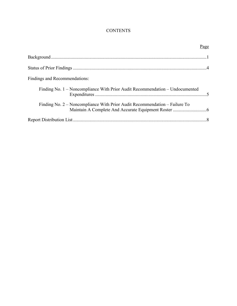# **CONTENTS**

| Page                                                                         |  |
|------------------------------------------------------------------------------|--|
|                                                                              |  |
|                                                                              |  |
| Findings and Recommendations:                                                |  |
| Finding No. 1 – Noncompliance With Prior Audit Recommendation – Undocumented |  |
| Finding No. 2 – Noncompliance With Prior Audit Recommendation – Failure To   |  |
|                                                                              |  |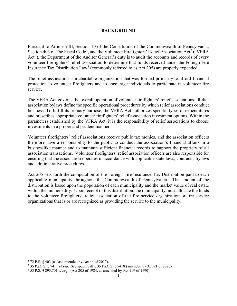#### **BACKGROUND**

Pursuant to Article VIII, Section 10 of the Constitution of the Commonwealth of Pennsylvania, Section 403 of The Fiscal Code<sup>[1](#page-4-0)</sup>, and the Volunteer Firefighters' Relief Association Act<sup>[2](#page-4-1)</sup> ("VFRA Act"), the Department of the Auditor General's duty is to audit the accounts and records of every volunteer firefighters' relief association to determine that funds received under the Foreign Fire Insurance Tax Distribution  $Law<sup>3</sup>$  $Law<sup>3</sup>$  $Law<sup>3</sup>$  (commonly referred to as Act 205) are properly expended.

The relief association is a charitable organization that was formed primarily to afford financial protection to volunteer firefighters and to encourage individuals to participate in volunteer fire service.

The VFRA Act governs the overall operation of volunteer firefighters' relief associations. Relief association bylaws define the specific operational procedures by which relief associations conduct business. To fulfill its primary purpose, the VFRA Act authorizes specific types of expenditures and prescribes appropriate volunteer firefighters' relief association investment options. Within the parameters established by the VFRA Act, it is the responsibility of relief associations to choose investments in a proper and prudent manner.

Volunteer firefighters' relief associations receive public tax monies, and the association officers therefore have a responsibility to the public to conduct the association's financial affairs in a businesslike manner and to maintain sufficient financial records to support the propriety of all association transactions. Volunteer firefighters' relief association officers are also responsible for ensuring that the association operates in accordance with applicable state laws, contracts, bylaws and administrative procedures.

Act 205 sets forth the computation of the Foreign Fire Insurance Tax Distribution paid to each applicable municipality throughout the Commonwealth of Pennsylvania. The amount of the distribution is based upon the population of each municipality and the market value of real estate within the municipality. Upon receipt of this distribution, the municipality must allocate the funds to the volunteer firefighters' relief association of the fire service organization or fire service organizations that is or are recognized as providing the service to the municipality.

<span id="page-4-0"></span> $172$  P.S. § 403 (as last amended by Act 44 of 2017).

<span id="page-4-1"></span><sup>2</sup> 35 Pa.C.S. § 7411 *et seq*. See specifically, 35 Pa.C.S. § 7418 (amended by Act 91 of 2020).

<span id="page-4-2"></span><sup>3</sup> 53 P.S. § 895.701 *et seq.* (Act 205 of 1984, as amended by Act 119 of 1990).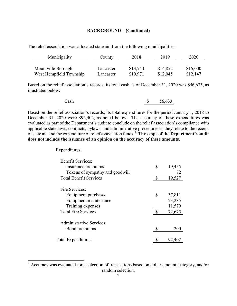#### **BACKGROUND – (Continued)**

The relief association was allocated state aid from the following municipalities:

| Municipality            | County    | 2018     | 2019     | 2020     |
|-------------------------|-----------|----------|----------|----------|
|                         |           |          |          |          |
| Mountville Borough      | Lancaster | \$13,744 | \$14,852 | \$15,000 |
| West Hempfield Township | Lancaster | \$10,971 | \$12,045 | \$12,147 |

Based on the relief association's records, its total cash as of December 31, 2020 was \$56,633, as illustrated below:

| Cash | 56,633 |
|------|--------|
|      |        |

Based on the relief association's records, its total expenditures for the period January 1, 2018 to December 31, 2020 were \$92,402, as noted below. The accuracy of these expenditures was evaluated as part of the Department's audit to conclude on the relief association's compliance with applicable state laws, contracts, bylaws, and administrative procedures as they relate to the receipt of state aid and the expenditure of relief association funds.[4](#page-5-0) **The scope of the Department's audit does not include the issuance of an opinion on the accuracy of these amounts.**

Expenditures:

| <b>Benefit Services:</b>        |    |        |
|---------------------------------|----|--------|
| Insurance premiums              | \$ | 19,455 |
| Tokens of sympathy and goodwill |    | 72     |
| <b>Total Benefit Services</b>   | S  | 19,527 |
| Fire Services:                  |    |        |
| Equipment purchased             | \$ | 37,811 |
| Equipment maintenance           |    | 23,285 |
| Training expenses               |    | 11,579 |
| <b>Total Fire Services</b>      |    | 72,675 |
| Administrative Services:        |    |        |
| Bond premiums                   |    | 200    |
| <b>Total Expenditures</b>       |    | 92,402 |

<span id="page-5-0"></span> <sup>4</sup> Accuracy was evaluated for a selection of transactions based on dollar amount, category, and/or random selection.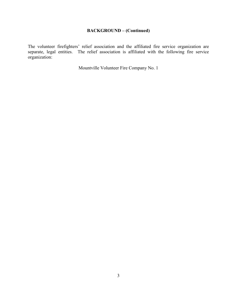# **BACKGROUND – (Continued)**

The volunteer firefighters' relief association and the affiliated fire service organization are separate, legal entities. The relief association is affiliated with the following fire service organization:

Mountville Volunteer Fire Company No. 1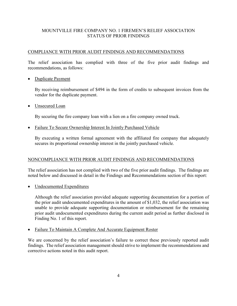# MOUNTVILLE FIRE COMPANY NO. 1 FIREMEN'S RELIEF ASSOCIATION STATUS OF PRIOR FINDINGS

#### COMPLIANCE WITH PRIOR AUDIT FINDINGS AND RECOMMENDATIONS

The relief association has complied with three of the five prior audit findings and recommendations, as follows:

• Duplicate Payment

By receiving reimbursement of \$494 in the form of credits to subsequent invoices from the vendor for the duplicate payment.

• Unsecured Loan

By securing the fire company loan with a lien on a fire company owned truck.

• Failure To Secure Ownership Interest In Jointly Purchased Vehicle

By executing a written formal agreement with the affiliated fire company that adequately secures its proportional ownership interest in the jointly purchased vehicle.

#### NONCOMPLIANCE WITH PRIOR AUDIT FINDINGS AND RECOMMENDATIONS

The relief association has not complied with two of the five prior audit findings. The findings are noted below and discussed in detail in the Findings and Recommendations section of this report:

Undocumented Expenditures

Although the relief association provided adequate supporting documentation for a portion of the prior audit undocumented expenditures in the amount of \$1,032, the relief association was unable to provide adequate supporting documentation or reimbursement for the remaining prior audit undocumented expenditures during the current audit period as further disclosed in Finding No. 1 of this report.

• Failure To Maintain A Complete And Accurate Equipment Roster

We are concerned by the relief association's failure to correct these previously reported audit findings. The relief association management should strive to implement the recommendations and corrective actions noted in this audit report.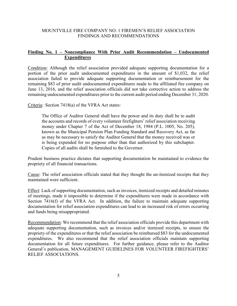#### MOUNTVILLE FIRE COMPANY NO. 1 FIREMEN'S RELIEF ASSOCIATION FINDINGS AND RECOMMENDATIONS

### **Finding No. 1 – Noncompliance With Prior Audit Recommendation – Undocumented Expenditures**

Condition: Although the relief association provided adequate supporting documentation for a portion of the prior audit undocumented expenditures in the amount of \$1,032, the relief association failed to provide adequate supporting documentation or reimbursement for the remaining \$83 of prior audit undocumented expenditures made to the affiliated fire company on June 13, 2016, and the relief association officials did not take corrective action to address the remaining undocumented expenditures prior to the current audit period ending December 31, 2020.

Criteria: Section 7418(a) of the VFRA Act states:

The Office of Auditor General shall have the power and its duty shall be to audit the accounts and records of every volunteer firefighters' relief association receiving money under Chapter 7 of the Act of December 18, 1984 (P.L. 1005, No. 205), known as the Municipal Pension Plan Funding Standard and Recovery Act, as far as may be necessary to satisfy the Auditor General that the money received was or is being expended for no purpose other than that authorized by this subchapter. Copies of all audits shall be furnished to the Governor.

Prudent business practice dictates that supporting documentation be maintained to evidence the propriety of all financial transactions.

Cause: The relief association officials stated that they thought the un-itemized receipts that they maintained were sufficient.

Effect: Lack of supporting documentation, such as invoices, itemized receipts and detailed minutes of meetings, made it impossible to determine if the expenditures were made in accordance with Section 7416(f) of the VFRA Act. In addition, the failure to maintain adequate supporting documentation for relief association expenditures can lead to an increased risk of errors occurring and funds being misappropriated.

Recommendation: We recommend that the relief association officials provide this department with adequate supporting documentation, such as invoices and/or itemized receipts, to ensure the propriety of the expenditures or that the relief association be reimbursed \$83 for the undocumented expenditures. We also recommend that the relief association officials maintain supporting documentation for all future expenditures. For further guidance, please refer to the Auditor General's publication, MANAGEMENT GUIDELINES FOR VOLUNTEER FIREFIGHTERS' RELIEF ASSOCIATIONS.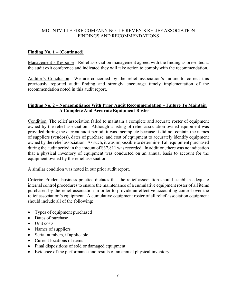#### MOUNTVILLE FIRE COMPANY NO. 1 FIREMEN'S RELIEF ASSOCIATION FINDINGS AND RECOMMENDATIONS

#### **Finding No. 1 – (Continued)**

Management's Response: Relief association management agreed with the finding as presented at the audit exit conference and indicated they will take action to comply with the recommendation.

Auditor's Conclusion: We are concerned by the relief association's failure to correct this previously reported audit finding and strongly encourage timely implementation of the recommendation noted in this audit report.

## **Finding No. 2 – Noncompliance With Prior Audit Recommendation – Failure To Maintain A Complete And Accurate Equipment Roster**

Condition: The relief association failed to maintain a complete and accurate roster of equipment owned by the relief association. Although a listing of relief association owned equipment was provided during the current audit period, it was incomplete because it did not contain the names of suppliers (vendors), dates of purchase, and cost of equipment to accurately identify equipment owned by the relief association. As such, it was impossible to determine if all equipment purchased during the audit period in the amount of \$37,811 was recorded. In addition, there was no indication that a physical inventory of equipment was conducted on an annual basis to account for the equipment owned by the relief association.

A similar condition was noted in our prior audit report.

Criteria: Prudent business practice dictates that the relief association should establish adequate internal control procedures to ensure the maintenance of a cumulative equipment roster of all items purchased by the relief association in order to provide an effective accounting control over the relief association's equipment. A cumulative equipment roster of all relief association equipment should include all of the following:

- Types of equipment purchased
- Dates of purchase
- Unit costs
- Names of suppliers
- Serial numbers, if applicable
- Current locations of items
- Final dispositions of sold or damaged equipment
- Evidence of the performance and results of an annual physical inventory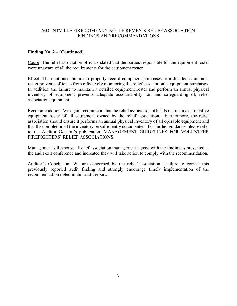### MOUNTVILLE FIRE COMPANY NO. 1 FIREMEN'S RELIEF ASSOCIATION FINDINGS AND RECOMMENDATIONS

#### **Finding No. 2 – (Continued)**

Cause: The relief association officials stated that the parties responsible for the equipment roster were unaware of all the requirements for the equipment roster.

Effect: The continued failure to properly record equipment purchases in a detailed equipment roster prevents officials from effectively monitoring the relief association's equipment purchases. In addition, the failure to maintain a detailed equipment roster and perform an annual physical inventory of equipment prevents adequate accountability for, and safeguarding of, relief association equipment.

Recommendation: We again recommend that the relief association officials maintain a cumulative equipment roster of all equipment owned by the relief association. Furthermore, the relief association should ensure it performs an annual physical inventory of all operable equipment and that the completion of the inventory be sufficiently documented. For further guidance, please refer to the Auditor General's publication, MANAGEMENT GUIDELINES FOR VOLUNTEER FIREFIGHTERS' RELIEF ASSOCIATIONS.

Management's Response: Relief association management agreed with the finding as presented at the audit exit conference and indicated they will take action to comply with the recommendation.

Auditor's Conclusion: We are concerned by the relief association's failure to correct this previously reported audit finding and strongly encourage timely implementation of the recommendation noted in this audit report.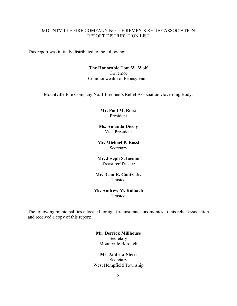#### MOUNTVILLE FIRE COMPANY NO. 1 FIREMEN'S RELIEF ASSOCIATION REPORT DISTRIBUTION LIST

This report was initially distributed to the following:

#### **The Honorable Tom W. Wolf** Governor Commonwealth of Pennsylvania

Mountville Fire Company No. 1 Firemen's Relief Association Governing Body:

#### **Mr. Paul M. Rossi** President

#### **Ms. Amanda Dicely** Vice President

#### **Mr. Michael P. Rossi** Secretary

#### **Mr. Joseph S. Iacono** Treasurer/Trustee

#### **Mr. Dean R. Gantz, Jr.** Trustee

#### **Mr. Andrew M. Kalbach** Trustee

The following municipalities allocated foreign fire insurance tax monies to this relief association and received a copy of this report:

#### **Mr. Derrick Millhouse** Secretary Mountville Borough

#### **Mr. Andrew Stern** Secretary West Hempfield Township